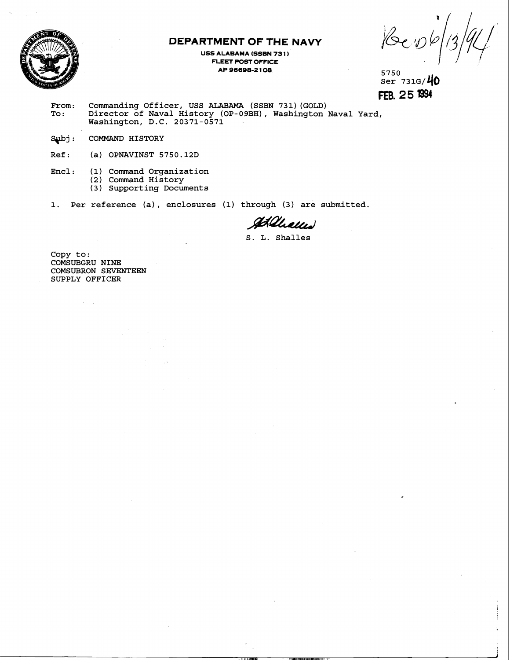

## **DEPARTMENT OF THE NAVY**

**USS ALABAMA (SSBN 731) FLEET POST OFFICE AP 96696-2 1 06 <sup>5750</sup>**

 $\frac{5750}{8}$  731G/ $\frac{40}{8}$ **FEB. 2 5** l394

**From: Commanding Officer, USS ALABAMA (SSBN 731) (GOLD) To** : **Director of Naval History (OP-09BH), Washington Naval Yard, Washington, D.C. 20371-0571** 

Subj: COMMAND HISTORY

**Ref: (a) OPNAVINST 5750.12D** 

**Encl: (1) Command Organization** 

- **(2) Command History**
- **(3) Supporting Documents**

**1. Per reference (a), enclosures (1) through (3) are submitted.** 

Allews

**S. L. Shalles** 

**Copy to: COMSUBGRU NINE COMSUBRON SEVENTEEN SUPPLY OFFICER**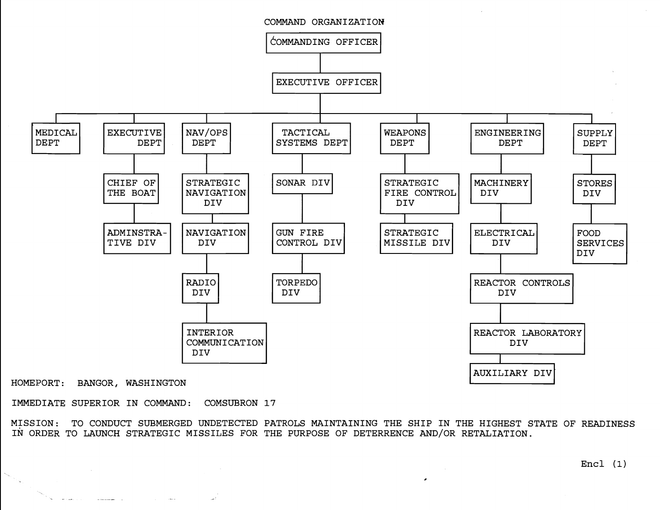

HOMEPORT: BANGOR, WASHINGTON

 $\sim$ 

IMMEDIATE SUPERIOR IN COMMAND: COMSUBRON 17

MISSION: TO CONDUCT SUBMERGED UNDETECTED PATROLS MAINTAINING THE SHIP IN THE HIGHEST STATE OF READINESS IN ORDER TO LAUNCH STRATEGIC MISSILES FOR THE PURPOSE OF DETERRENCE AND/OR RETALIATION.

 $Encl (1)$